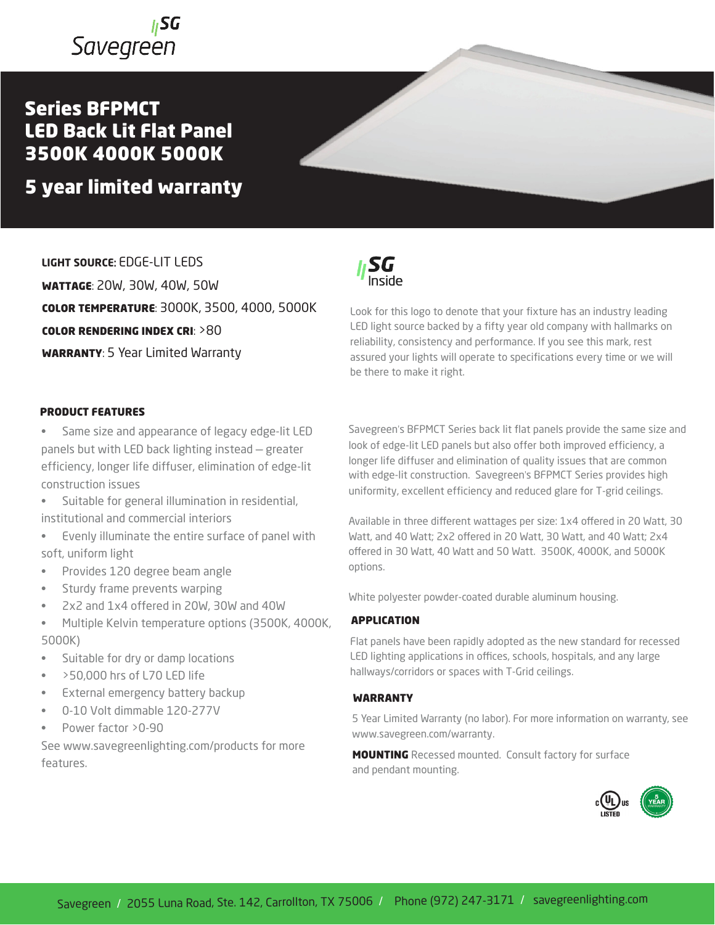## **I**SG Savegreen

### Series BFPMCT LED Back Lit Flat Panel 3500K 4000K 5000K

### 5 year limited warranty

**LIGHT SOURCE**: EDGE-LIT LEDS WATTAGE: 20W, 30W, 40W, 50W COLOR TEMPERATURE: 3000K, 3500, 4000, 5000K COLOR RENDERING INDEX CRI: >80 WARRANTY: 5 Year Limited Warranty

### PRODUCT FEATURES

Same size and appearance of legacy edge-lit LED panels but with LED back lighting instead — greater efficiency, longer life diffuser, elimination of edge-lit construction issues

- Suitable for general illumination in residential, institutional and commercial interiors
- Evenly illuminate the entire surface of panel with soft, uniform light
- Provides 120 degree beam angle
- Sturdy frame prevents warping
- 2x2 and 1x4 offered in 20W, 30W and 40W
- Multiple Kelvin temperature options (3500K, 4000K, 5000K)
- Suitable for dry or damp locations
- >50,000 hrs of L70 LED life
- External emergency battery backup
- 0-10 Volt dimmable 120-277V
- Power factor > 0-90

See www.savegreenlighting.com/products for more features.

SG

Look for this logo to denote that your fixture has an industry leading LED light source backed by a fifty year old company with hallmarks on reliability, consistency and performance. If you see this mark, rest assured your lights will operate to specifications every time or we will be there to make it right.

Savegreen's BFPMCT Series back lit flat panels provide the same size and look of edge-lit LED panels but also offer both improved efficiency, a longer life diffuser and elimination of quality issues that are common with edge-lit construction. Savegreen's BFPMCT Series provides high uniformity, excellent efficiency and reduced glare for T-grid ceilings.

Available in three different wattages per size: 1x4 offered in 20 Watt, 30 Watt, and 40 Watt; 2x2 offered in 20 Watt, 30 Watt, and 40 Watt; 2x4 offered in 30 Watt, 40 Watt and 50 Watt. 3500K, 4000K, and 5000K options.

White polyester powder-coated durable aluminum housing.

#### APPLICATION

Flat panels have been rapidly adopted as the new standard for recessed LED lighting applications in offices, schools, hospitals, and any large hallways/corridors or spaces with T-Grid ceilings.

### WARRANTY

5 Year Limited Warranty (no labor). For more information on warranty, see www.savegreen.com/warranty.

**MOUNTING** Recessed mounted. Consult factory for surface and pendant mounting.

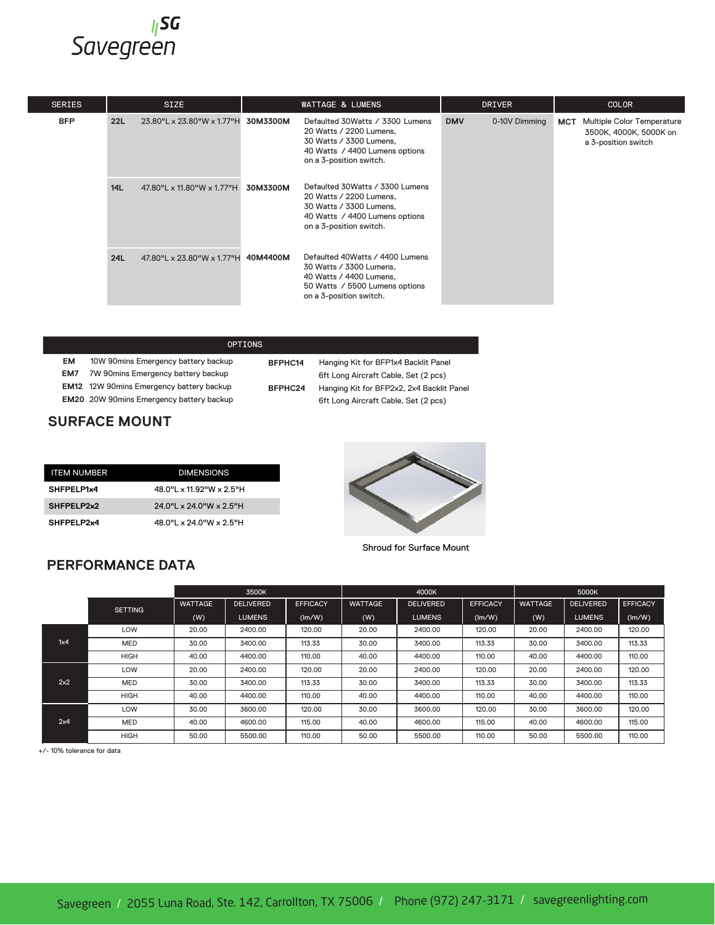# <mark>sa</mark><br>Savegreen

| <b>SERIES</b> | <b>SIZE</b> |                                     | <b>WATTAGE &amp; LUMENS</b> |                                                                                                                                                     | <b>DRIVER</b> |               | <b>COLOR</b> |                                                                             |
|---------------|-------------|-------------------------------------|-----------------------------|-----------------------------------------------------------------------------------------------------------------------------------------------------|---------------|---------------|--------------|-----------------------------------------------------------------------------|
| <b>BFP</b>    | 22L         | 23.80"L x 23.80"W x 1.77"H 30M3300M |                             | Defaulted 30 Watts / 3300 Lumens<br>20 Watts / 2200 Lumens.<br>30 Watts / 3300 Lumens,<br>40 Watts / 4400 Lumens options<br>on a 3-position switch. | <b>DMV</b>    | 0-10V Dimming | <b>MCT</b>   | Multiple Color Temperature<br>3500K, 4000K, 5000K on<br>a 3-position switch |
|               | <b>14L</b>  | 47.80"L x 11.80"W x 1.77"H          | 30M3300M                    | Defaulted 30 Watts / 3300 Lumens<br>20 Watts / 2200 Lumens,<br>30 Watts / 3300 Lumens,<br>40 Watts / 4400 Lumens options<br>on a 3-position switch. |               |               |              |                                                                             |
|               | 24L         | 47.80"L x 23.80"W x 1.77"H 40M4400M |                             | Defaulted 40Watts / 4400 Lumens<br>30 Watts / 3300 Lumens,<br>40 Watts / 4400 Lumens,<br>50 Watts / 5500 Lumens options<br>on a 3-position switch.  |               |               |              |                                                                             |

|                      |                                                 | on a 3-position switch. |                                           |  |  |  |  |
|----------------------|-------------------------------------------------|-------------------------|-------------------------------------------|--|--|--|--|
|                      |                                                 |                         |                                           |  |  |  |  |
|                      |                                                 | <b>OPTIONS</b>          |                                           |  |  |  |  |
| EM                   | 10W 90mins Emergency battery backup             | BFPHC14                 | Hanging Kit for BFP1x4 Backlit Panel      |  |  |  |  |
| EM7                  | 7W 90mins Emergency battery backup              |                         | 6ft Long Aircraft Cable, Set (2 pcs)      |  |  |  |  |
|                      | <b>EM12</b> 12W 90mins Emergency battery backup | BFPHC24                 | Hanging Kit for BFP2x2, 2x4 Backlit Panel |  |  |  |  |
|                      | <b>EM20</b> 20W 90mins Emergency battery backup |                         | 6ft Long Aircraft Cable, Set (2 pcs)      |  |  |  |  |
| <b>SURFACE MOUNT</b> |                                                 |                         |                                           |  |  |  |  |
|                      |                                                 |                         |                                           |  |  |  |  |

### **SURFACE MOUNT**

| <b>ITEM NUMBER</b> | <b>DIMENSIONS</b>                          |
|--------------------|--------------------------------------------|
| SHFPELP1x4         | $48.0$ " $\times$ 11.92" W $\times$ 2.5" H |
| SHFPELP2x2         | $24.0$ "L x 24.0"W x 2.5"H                 |
| SHFPELP2x4         | 48.0"L x 24.0"W x 2.5"H                    |

5000 Lumens **BFP 22L** 23.78"L x 23.78"W **30W3750L**



Shroud for Surface Mount

| Shroud for Surface Mount<br><b>PERFORMANCE DATA</b> |                |                |                  |                 |                |                  |                 |                |                  |                 |
|-----------------------------------------------------|----------------|----------------|------------------|-----------------|----------------|------------------|-----------------|----------------|------------------|-----------------|
|                                                     |                | 3500K          |                  |                 | 4000K          |                  |                 | 5000K          |                  |                 |
|                                                     | <b>SETTING</b> | <b>WATTAGE</b> | <b>DELIVERED</b> | <b>EFFICACY</b> | <b>WATTAGE</b> | <b>DELIVERED</b> | <b>EFFICACY</b> | <b>WATTAGE</b> | <b>DELIVERED</b> | <b>EFFICACY</b> |
|                                                     |                | (W)            | <b>LUMENS</b>    | (Im/W)          | (W)            | <b>LUMENS</b>    | (lm/W)          | (W)            | <b>LUMENS</b>    | (Im/W)          |
| 1x4                                                 | LOW            | 20.00          | 2400.00          | 120.00          | 20.00          | 2400.00          | 120.00          | 20.00          | 2400.00          | 120.00          |
|                                                     | MED            | 30.00          | 3400.00          | 113.33          | 30.00          | 3400.00          | 113.33          | 30.00          | 3400.00          | 113.33          |
|                                                     | <b>HIGH</b>    | 40.00          | 4400.00          | 110.00          | 40.00          | 4400.00          | 110.00          | 40.00          | 4400.00          | 110.00          |
| 2x2                                                 | LOW            | 20.00          | 2400.00          | 120.00          | 20.00          | 2400.00          | 120.00          | 20.00          | 2400.00          | 120.00          |
|                                                     | MED            | 30.00          | 3400.00          | 113.33          | 30.00          | 3400.00          | 113.33          | 30.00          | 3400.00          | 113.33          |
|                                                     | <b>HIGH</b>    | 40.00          | 4400.00          | 110.00          | 40.00          | 4400.00          | 110.00          | 40.00          | 4400.00          | 110.00          |
| 2x4                                                 | LOW            | 30.00          | 3600.00          | 120.00          | 30.00          | 3600.00          | 120.00          | 30.00          | 3600.00          | 120.00          |
|                                                     | MED            | 40.00          | 4600.00          | 115.00          | 40.00          | 4600.00          | 115.00          | 40.00          | 4600.00          | 115.00          |
|                                                     | HIGH           | 50.00          | 5500.00          | 110.00          | 50.00          | 5500.00          | 110.00          | 50.00          | 5500.00          | 110.00          |

**PRODUCT NUMBERS** +/- 10% tolerance for data

# **PERFORMANCE DATA**